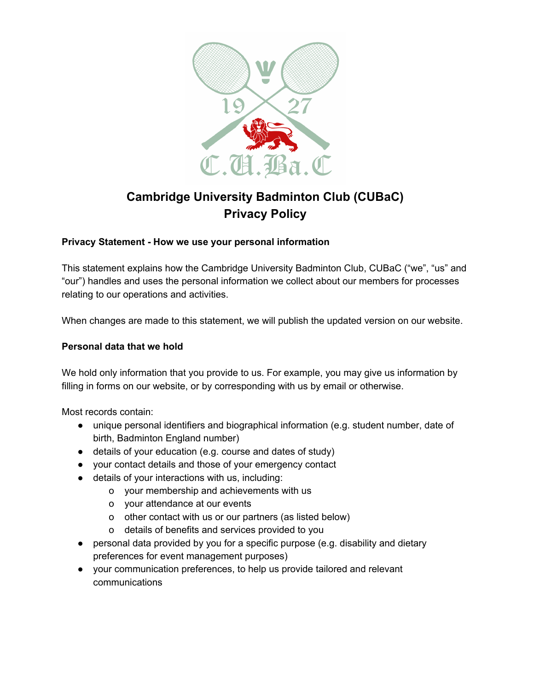

# **Cambridge University Badminton Club (CUBaC) Privacy Policy**

# **Privacy Statement - How we use your personal information**

This statement explains how the Cambridge University Badminton Club, CUBaC ("we", "us" and "our") handles and uses the personal information we collect about our members for processes relating to our operations and activities.

When changes are made to this statement, we will publish the updated version on our website.

# **Personal data that we hold**

We hold only information that you provide to us. For example, you may give us information by filling in forms on our website, or by corresponding with us by email or otherwise.

Most records contain:

- unique personal identifiers and biographical information (e.g. student number, date of birth, Badminton England number)
- details of your education (e.g. course and dates of study)
- your contact details and those of your emergency contact
- details of your interactions with us, including:
	- o your membership and achievements with us
	- o your attendance at our events
	- o other contact with us or our partners (as listed below)
	- o details of benefits and services provided to you
- personal data provided by you for a specific purpose (e.g. disability and dietary preferences for event management purposes)
- your communication preferences, to help us provide tailored and relevant communications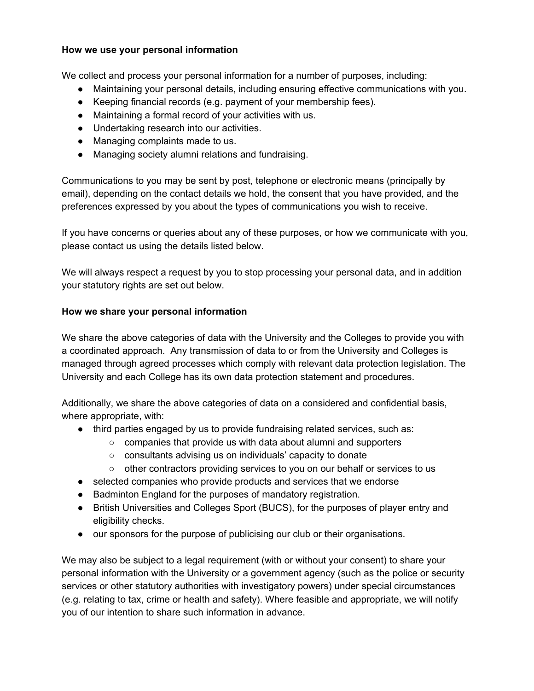#### **How we use your personal information**

We collect and process your personal information for a number of purposes, including:

- Maintaining your personal details, including ensuring effective communications with you.
- Keeping financial records (e.g. payment of your membership fees).
- Maintaining a formal record of your activities with us.
- Undertaking research into our activities.
- Managing complaints made to us.
- Managing society alumni relations and fundraising.

Communications to you may be sent by post, telephone or electronic means (principally by email), depending on the contact details we hold, the consent that you have provided, and the preferences expressed by you about the types of communications you wish to receive.

If you have concerns or queries about any of these purposes, or how we communicate with you, please contact us using the details listed below.

We will always respect a request by you to stop processing your personal data, and in addition your statutory rights are set out below.

#### **How we share your personal information**

We share the above categories of data with the University and the Colleges to provide you with a coordinated approach. Any transmission of data to or from the University and Colleges is managed through agreed processes which comply with relevant data protection legislation. The University and each College has its own data protection statement and procedures.

Additionally, we share the above categories of data on a considered and confidential basis, where appropriate, with:

- third parties engaged by us to provide fundraising related services, such as:
	- companies that provide us with data about alumni and supporters
	- consultants advising us on individuals' capacity to donate
	- other contractors providing services to you on our behalf or services to us
- selected companies who provide products and services that we endorse
- Badminton England for the purposes of mandatory registration.
- British Universities and Colleges Sport (BUCS), for the purposes of player entry and eligibility checks.
- our sponsors for the purpose of publicising our club or their organisations.

We may also be subject to a legal requirement (with or without your consent) to share your personal information with the University or a government agency (such as the police or security services or other statutory authorities with investigatory powers) under special circumstances (e.g. relating to tax, crime or health and safety). Where feasible and appropriate, we will notify you of our intention to share such information in advance.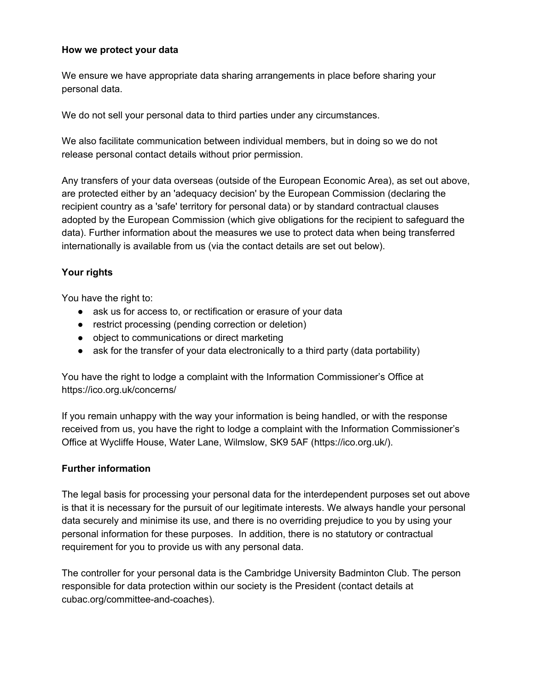#### **How we protect your data**

We ensure we have appropriate data sharing arrangements in place before sharing your personal data.

We do not sell your personal data to third parties under any circumstances.

We also facilitate communication between individual members, but in doing so we do not release personal contact details without prior permission.

Any transfers of your data overseas (outside of the European Economic Area), as set out above, are protected either by an 'adequacy decision' by the European Commission (declaring the recipient country as a 'safe' territory for personal data) or by standard contractual clauses adopted by the European Commission (which give obligations for the recipient to safeguard the data). Further information about the measures we use to protect data when being transferred internationally is available from us (via the contact details are set out below).

# **Your rights**

You have the right to:

- ask us for access to, or rectification or erasure of your data
- restrict processing (pending correction or deletion)
- object to communications or direct marketing
- ask for the transfer of your data electronically to a third party (data portability)

You have the right to lodge a complaint with the Information Commissioner's Office at https://ico.org.uk/concerns/

If you remain unhappy with the way your information is being handled, or with the response received from us, you have the right to lodge a complaint with the Information Commissioner's Office at Wycliffe House, Water Lane, Wilmslow, SK9 5AF (https://ico.org.uk/).

# **Further information**

The legal basis for processing your personal data for the interdependent purposes set out above is that it is necessary for the pursuit of our legitimate interests. We always handle your personal data securely and minimise its use, and there is no overriding prejudice to you by using your personal information for these purposes. In addition, there is no statutory or contractual requirement for you to provide us with any personal data.

The controller for your personal data is the Cambridge University Badminton Club. The person responsible for data protection within our society is the President (contact details at cubac.org/committee-and-coaches).